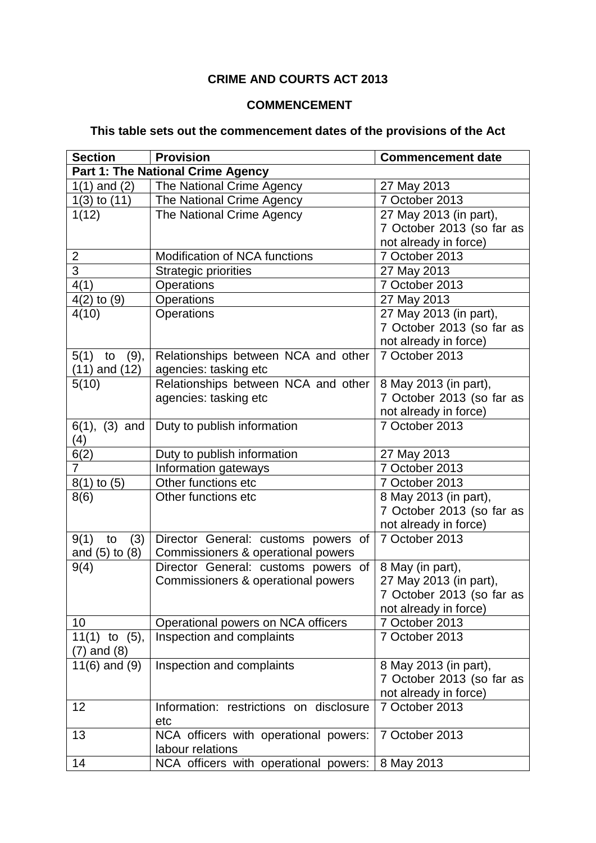## **CRIME AND COURTS ACT 2013**

## **COMMENCEMENT**

## **This table sets out the commencement dates of the provisions of the Act**

| <b>Section</b>     | <b>Provision</b>                                          | <b>Commencement date</b>  |
|--------------------|-----------------------------------------------------------|---------------------------|
|                    | Part 1: The National Crime Agency                         |                           |
| $1(1)$ and $(2)$   | The National Crime Agency                                 | 27 May 2013               |
| $1(3)$ to $(11)$   | The National Crime Agency                                 | 7 October 2013            |
| 1(12)              | The National Crime Agency                                 | 27 May 2013 (in part),    |
|                    |                                                           | 7 October 2013 (so far as |
|                    |                                                           | not already in force)     |
| $\overline{2}$     | Modification of NCA functions                             | 7 October 2013            |
| $\overline{3}$     | <b>Strategic priorities</b>                               | 27 May 2013               |
| 4(1)               | Operations                                                | 7 October 2013            |
| $4(2)$ to $(9)$    | Operations                                                | 27 May 2013               |
| 4(10)              | Operations                                                | 27 May 2013 (in part),    |
|                    |                                                           | 7 October 2013 (so far as |
|                    |                                                           | not already in force)     |
| 5(1)<br>(9),<br>to | Relationships between NCA and other                       | 7 October 2013            |
| $(11)$ and $(12)$  | agencies: tasking etc                                     |                           |
| 5(10)              | Relationships between NCA and other                       | 8 May 2013 (in part),     |
|                    | agencies: tasking etc                                     | 7 October 2013 (so far as |
|                    |                                                           | not already in force)     |
| $6(1), (3)$ and    | Duty to publish information                               | 7 October 2013            |
| (4)                |                                                           |                           |
| 6(2)               | Duty to publish information                               | 27 May 2013               |
| $\overline{7}$     | Information gateways                                      | 7 October 2013            |
| $8(1)$ to $(5)$    | Other functions etc                                       | 7 October 2013            |
| 8(6)               | Other functions etc                                       | 8 May 2013 (in part),     |
|                    |                                                           | 7 October 2013 (so far as |
|                    |                                                           | not already in force)     |
| 9(1)<br>(3)<br>to  | Director General: customs powers of                       | 7 October 2013            |
| and $(5)$ to $(8)$ | Commissioners & operational powers                        |                           |
| 9(4)               | Director General: customs powers of                       | 8 May (in part),          |
|                    | Commissioners & operational powers                        | 27 May 2013 (in part),    |
|                    |                                                           | 7 October 2013 (so far as |
|                    |                                                           | not already in force)     |
| 10                 | Operational powers on NCA officers                        | 7 October 2013            |
| $11(1)$ to $(5)$ , | Inspection and complaints                                 | 7 October 2013            |
| $(7)$ and $(8)$    |                                                           |                           |
| 11 $(6)$ and $(9)$ | Inspection and complaints                                 | 8 May 2013 (in part),     |
|                    |                                                           | 7 October 2013 (so far as |
|                    |                                                           | not already in force)     |
| 12                 | Information: restrictions on disclosure                   | 7 October 2013            |
|                    | etc                                                       |                           |
| 13                 | NCA officers with operational powers:<br>labour relations | 7 October 2013            |
|                    |                                                           |                           |
| 14                 | NCA officers with operational powers:                     | 8 May 2013                |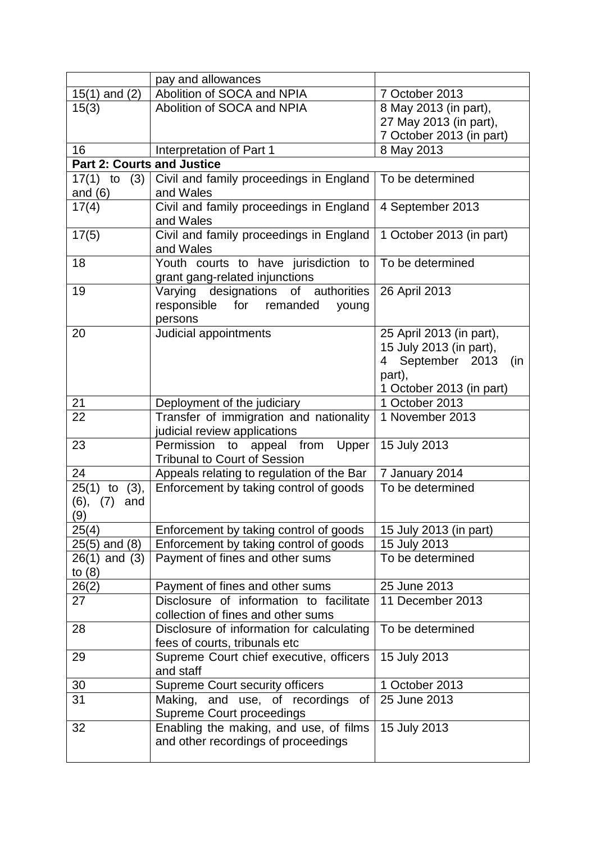|                                   | pay and allowances                                                                  |                                    |
|-----------------------------------|-------------------------------------------------------------------------------------|------------------------------------|
| $15(1)$ and $(2)$                 | Abolition of SOCA and NPIA                                                          | 7 October 2013                     |
| 15(3)                             | Abolition of SOCA and NPIA                                                          | 8 May 2013 (in part),              |
|                                   |                                                                                     | 27 May 2013 (in part),             |
|                                   |                                                                                     | 7 October 2013 (in part)           |
| 16                                | Interpretation of Part 1                                                            | 8 May 2013                         |
| <b>Part 2: Courts and Justice</b> |                                                                                     |                                    |
| $17(1)$ to $(3)$                  | Civil and family proceedings in England                                             | To be determined                   |
| and $(6)$                         | and Wales                                                                           |                                    |
| 17(4)                             | Civil and family proceedings in England                                             | 4 September 2013                   |
|                                   | and Wales                                                                           |                                    |
| 17(5)                             | Civil and family proceedings in England                                             | 1 October 2013 (in part)           |
|                                   | and Wales                                                                           |                                    |
| 18                                | Youth courts to have jurisdiction to                                                | To be determined                   |
|                                   | grant gang-related injunctions                                                      |                                    |
| 19                                | Varying designations of authorities                                                 | 26 April 2013                      |
|                                   | responsible for remanded<br>young                                                   |                                    |
|                                   | persons                                                                             |                                    |
| 20                                | Judicial appointments                                                               | 25 April 2013 (in part),           |
|                                   |                                                                                     | 15 July 2013 (in part),            |
|                                   |                                                                                     | 4 September 2013<br>(in            |
|                                   |                                                                                     | part),                             |
|                                   |                                                                                     | 1 October 2013 (in part)           |
| 21                                | Deployment of the judiciary                                                         | 1 October 2013                     |
| 22                                | Transfer of immigration and nationality                                             | 1 November 2013                    |
|                                   | judicial review applications                                                        |                                    |
| 23                                | Permission to<br>appeal from Upper<br><b>Tribunal to Court of Session</b>           | 15 July 2013                       |
| 24                                |                                                                                     |                                    |
|                                   | Appeals relating to regulation of the Bar<br>Enforcement by taking control of goods | 7 January 2014<br>To be determined |
| $25(1)$ to $(3)$ ,<br>(6),<br>and |                                                                                     |                                    |
| (7)<br>(9)                        |                                                                                     |                                    |
| 25(4)                             | Enforcement by taking control of goods                                              | 15 July 2013 (in part)             |
| $25(5)$ and $(8)$                 | Enforcement by taking control of goods                                              | 15 July 2013                       |
| $26(1)$ and $(3)$                 | Payment of fines and other sums                                                     | To be determined                   |
| to $(8)$                          |                                                                                     |                                    |
| 26(2)                             | Payment of fines and other sums                                                     | 25 June 2013                       |
| 27                                | Disclosure of information to facilitate                                             | 11 December 2013                   |
|                                   | collection of fines and other sums                                                  |                                    |
| 28                                | Disclosure of information for calculating                                           | To be determined                   |
|                                   | fees of courts, tribunals etc                                                       |                                    |
| 29                                | Supreme Court chief executive, officers                                             | 15 July 2013                       |
|                                   | and staff                                                                           |                                    |
| 30                                | Supreme Court security officers                                                     | 1 October 2013                     |
| 31                                | Making, and use, of recordings<br>of                                                | 25 June 2013                       |
|                                   | <b>Supreme Court proceedings</b>                                                    |                                    |
| 32                                | Enabling the making, and use, of films                                              | 15 July 2013                       |
|                                   | and other recordings of proceedings                                                 |                                    |
|                                   |                                                                                     |                                    |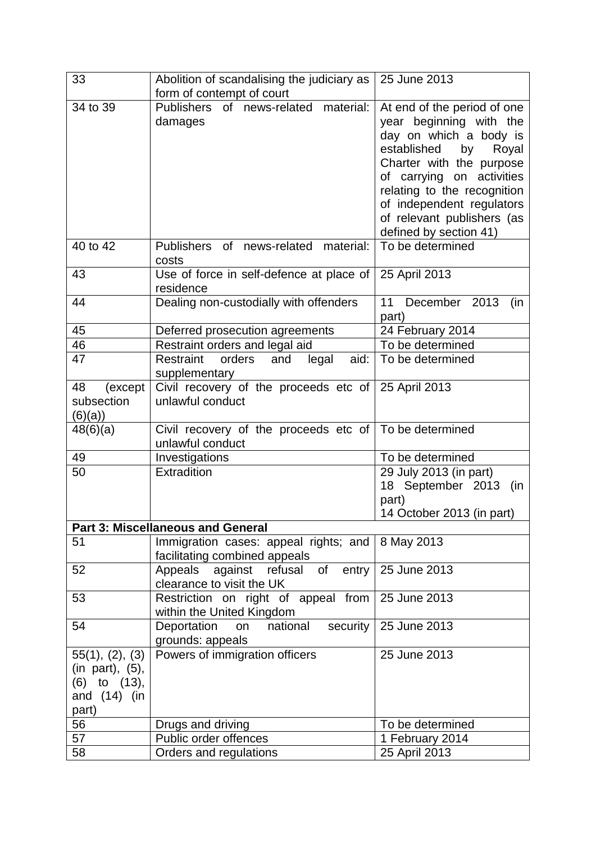| 33                                                                            | Abolition of scandalising the judiciary as                             | 25 June 2013                                                                                                                                                                                                                                                                                |
|-------------------------------------------------------------------------------|------------------------------------------------------------------------|---------------------------------------------------------------------------------------------------------------------------------------------------------------------------------------------------------------------------------------------------------------------------------------------|
|                                                                               | form of contempt of court                                              |                                                                                                                                                                                                                                                                                             |
| 34 to 39                                                                      | <b>Publishers</b><br>of news-related material:<br>damages              | At end of the period of one<br>year beginning with the<br>day on which a body is<br>established<br>by<br>Royal<br>Charter with the purpose<br>of carrying on activities<br>relating to the recognition<br>of independent regulators<br>of relevant publishers (as<br>defined by section 41) |
| 40 to 42                                                                      | Publishers<br>of<br>news-related<br>material:<br>costs                 | To be determined                                                                                                                                                                                                                                                                            |
| 43                                                                            | Use of force in self-defence at place of<br>residence                  | 25 April 2013                                                                                                                                                                                                                                                                               |
| 44                                                                            | Dealing non-custodially with offenders                                 | 11 December 2013<br>(in<br>part)                                                                                                                                                                                                                                                            |
| 45                                                                            | Deferred prosecution agreements                                        | 24 February 2014                                                                                                                                                                                                                                                                            |
| 46                                                                            | Restraint orders and legal aid                                         | To be determined                                                                                                                                                                                                                                                                            |
| 47                                                                            | aid:<br>Restraint<br>orders<br>and<br>legal<br>supplementary           | To be determined                                                                                                                                                                                                                                                                            |
| 48<br>(except                                                                 | Civil recovery of the proceeds etc of                                  | 25 April 2013                                                                                                                                                                                                                                                                               |
| subsection<br>(6)(a)                                                          | unlawful conduct                                                       |                                                                                                                                                                                                                                                                                             |
| 48(6)(a)                                                                      | Civil recovery of the proceeds etc of<br>unlawful conduct              | To be determined                                                                                                                                                                                                                                                                            |
| 49                                                                            | Investigations                                                         | To be determined                                                                                                                                                                                                                                                                            |
| 50                                                                            | Extradition                                                            | 29 July 2013 (in part)<br>18 September 2013<br>(in<br>part)<br>14 October 2013 (in part)                                                                                                                                                                                                    |
|                                                                               | <b>Part 3: Miscellaneous and General</b>                               |                                                                                                                                                                                                                                                                                             |
| 51                                                                            | Immigration cases: appeal rights; and<br>facilitating combined appeals | 8 May 2013                                                                                                                                                                                                                                                                                  |
| 52                                                                            | Appeals<br>refusal of<br>against<br>entry<br>clearance to visit the UK | 25 June 2013                                                                                                                                                                                                                                                                                |
| 53                                                                            | Restriction on right of appeal from<br>within the United Kingdom       | 25 June 2013                                                                                                                                                                                                                                                                                |
| 54                                                                            | national<br>Deportation<br>security<br>on<br>grounds: appeals          | 25 June 2013                                                                                                                                                                                                                                                                                |
| 55(1), (2), (3)<br>(in part), (5),<br>(6) to (13),<br>and $(14)$ (in<br>part) | Powers of immigration officers                                         | 25 June 2013                                                                                                                                                                                                                                                                                |
| 56                                                                            | Drugs and driving                                                      | To be determined                                                                                                                                                                                                                                                                            |
| 57                                                                            | Public order offences                                                  | 1 February 2014                                                                                                                                                                                                                                                                             |
| 58                                                                            | Orders and regulations                                                 | 25 April 2013                                                                                                                                                                                                                                                                               |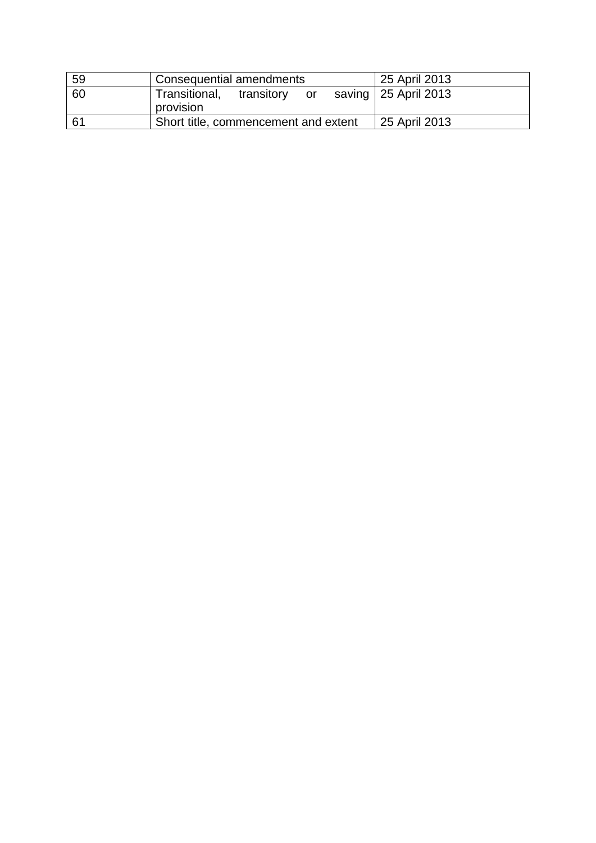| 59 | Consequential amendments                       | 25 April 2013          |
|----|------------------------------------------------|------------------------|
| 60 | Transitional,<br>transitory<br>or<br>provision | saving   25 April 2013 |
| 61 | Short title, commencement and extent           | 25 April 2013          |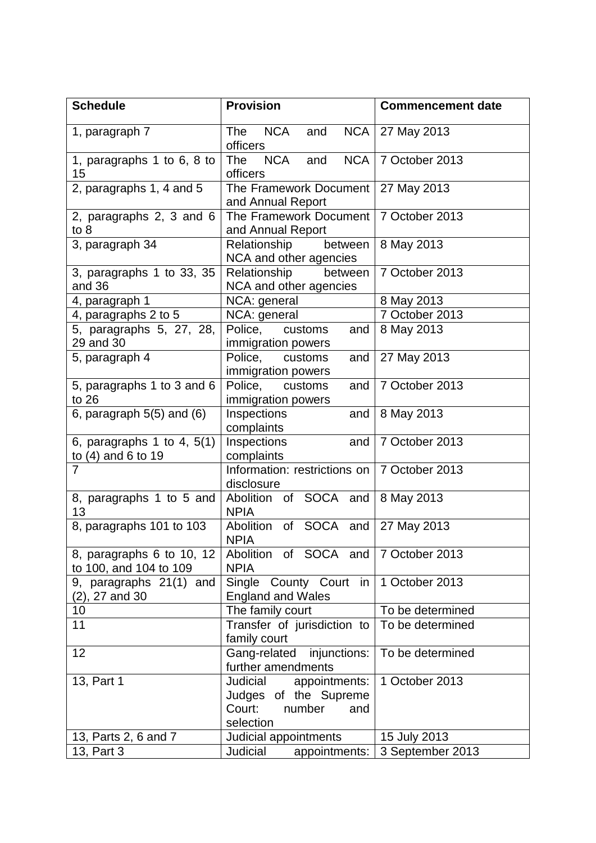| <b>Schedule</b>                                      | <b>Provision</b>                                                                           | <b>Commencement date</b> |
|------------------------------------------------------|--------------------------------------------------------------------------------------------|--------------------------|
| 1, paragraph 7                                       | <b>NCA</b><br>The<br>and<br>officers                                                       | NCA   27 May 2013        |
| 1, paragraphs 1 to 6, 8 to<br>15                     | <b>NCA</b><br>The<br>and<br>officers                                                       | NCA   7 October 2013     |
| 2, paragraphs 1, 4 and 5                             | The Framework Document<br>and Annual Report                                                | 27 May 2013              |
| 2, paragraphs 2, 3 and 6<br>to 8                     | The Framework Document<br>and Annual Report                                                | 7 October 2013           |
| 3, paragraph 34                                      | Relationship<br>between<br>NCA and other agencies                                          | 8 May 2013               |
| 3, paragraphs 1 to 33, 35<br>and 36                  | Relationship<br>between<br>NCA and other agencies                                          | 7 October 2013           |
| 4, paragraph 1                                       | NCA: general                                                                               | 8 May 2013               |
| 4, paragraphs 2 to 5                                 | NCA: general                                                                               | 7 October 2013           |
| 5, paragraphs 5, 27, 28,<br>29 and 30                | Police, customs<br>and<br>immigration powers                                               | 8 May 2013               |
| 5, paragraph 4                                       | Police, customs<br>and<br>immigration powers                                               | 27 May 2013              |
| 5, paragraphs 1 to 3 and 6<br>to $26$                | Police,<br>customs<br>and<br>immigration powers                                            | 7 October 2013           |
| 6, paragraph $5(5)$ and $(6)$                        | Inspections<br>and<br>complaints                                                           | 8 May 2013               |
| 6, paragraphs 1 to 4, $5(1)$<br>to $(4)$ and 6 to 19 | Inspections<br>and<br>complaints                                                           | 7 October 2013           |
| $\overline{7}$                                       | Information: restrictions on   7 October 2013<br>disclosure                                |                          |
| 8, paragraphs 1 to 5 and<br>13                       | Abolition of SOCA and 8 May 2013<br><b>NPIA</b>                                            |                          |
| 8, paragraphs 101 to 103                             | Abolition of SOCA and<br><b>NPIA</b>                                                       | 27 May 2013              |
| 8, paragraphs 6 to 10, 12<br>to 100, and 104 to 109  | Abolition of SOCA and   7 October 2013<br><b>NPIA</b>                                      |                          |
| 9, paragraphs 21(1) and<br>$(2)$ , 27 and 30         | Single County Court in<br><b>England and Wales</b>                                         | 1 October 2013           |
| 10                                                   | The family court                                                                           | To be determined         |
| 11                                                   | Transfer of jurisdiction to<br>family court                                                | To be determined         |
| 12                                                   | Gang-related<br>injunctions:<br>further amendments                                         | To be determined         |
| 13, Part 1                                           | Judicial<br>appointments:<br>Judges of the Supreme<br>Court:<br>number<br>and<br>selection | 1 October 2013           |
| 13, Parts 2, 6 and 7                                 | Judicial appointments                                                                      | 15 July 2013             |
| 13, Part 3                                           | Judicial<br>appointments:                                                                  | 3 September 2013         |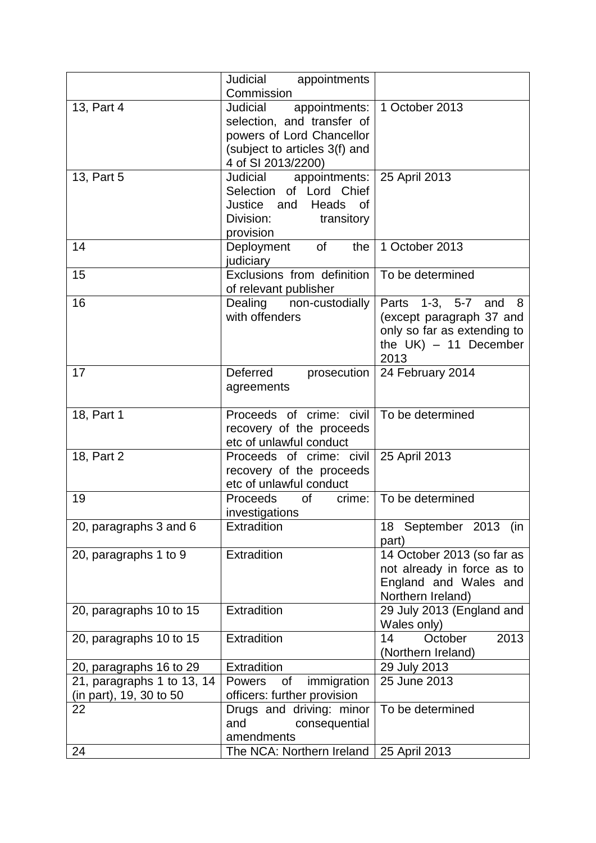|                            | Judicial appointments                                                                                                                       |                                                                                                                     |
|----------------------------|---------------------------------------------------------------------------------------------------------------------------------------------|---------------------------------------------------------------------------------------------------------------------|
|                            | Commission                                                                                                                                  |                                                                                                                     |
| 13, Part 4                 | appointments:<br>Judicial<br>selection, and transfer of<br>powers of Lord Chancellor<br>(subject to articles 3(f) and<br>4 of SI 2013/2200) | 1 October 2013                                                                                                      |
| 13, Part 5                 | Judicial appointments:<br>Selection of Lord Chief<br>Justice and<br>Heads<br><b>of</b><br>Division:<br>transitory<br>provision              | 25 April 2013                                                                                                       |
| 14                         | Deployment<br>of<br>the<br>judiciary                                                                                                        | 1 October 2013                                                                                                      |
| 15                         | Exclusions from definition<br>of relevant publisher                                                                                         | To be determined                                                                                                    |
| 16                         | Dealing non-custodially<br>with offenders                                                                                                   | Parts 1-3, 5-7 and 8<br>(except paragraph 37 and<br>only so far as extending to<br>the $UK$ ) - 11 December<br>2013 |
| 17                         | Deferred<br>prosecution<br>agreements                                                                                                       | 24 February 2014                                                                                                    |
| 18, Part 1                 | Proceeds of crime: civil<br>recovery of the proceeds<br>etc of unlawful conduct                                                             | To be determined                                                                                                    |
| 18, Part 2                 | Proceeds of crime: civil<br>recovery of the proceeds<br>etc of unlawful conduct                                                             | 25 April 2013                                                                                                       |
| 19                         | Proceeds of<br>crime:<br>investigations                                                                                                     | To be determined                                                                                                    |
| 20, paragraphs 3 and 6     | Extradition                                                                                                                                 | 18 September 2013 (in<br>part)                                                                                      |
| 20, paragraphs 1 to 9      | Extradition                                                                                                                                 | 14 October 2013 (so far as<br>not already in force as to<br>England and Wales and<br>Northern Ireland)              |
| 20, paragraphs 10 to 15    | Extradition                                                                                                                                 | 29 July 2013 (England and<br>Wales only)                                                                            |
| 20, paragraphs 10 to 15    | Extradition                                                                                                                                 | October<br>14<br>2013<br>(Northern Ireland)                                                                         |
| 20, paragraphs 16 to 29    | Extradition                                                                                                                                 | 29 July 2013                                                                                                        |
| 21, paragraphs 1 to 13, 14 | of<br>immigration<br><b>Powers</b>                                                                                                          | 25 June 2013                                                                                                        |
| (in part), 19, 30 to 50    | officers: further provision                                                                                                                 |                                                                                                                     |
| 22                         | Drugs and driving: minor<br>consequential<br>and<br>amendments                                                                              | To be determined                                                                                                    |
| 24                         | The NCA: Northern Ireland                                                                                                                   | 25 April 2013                                                                                                       |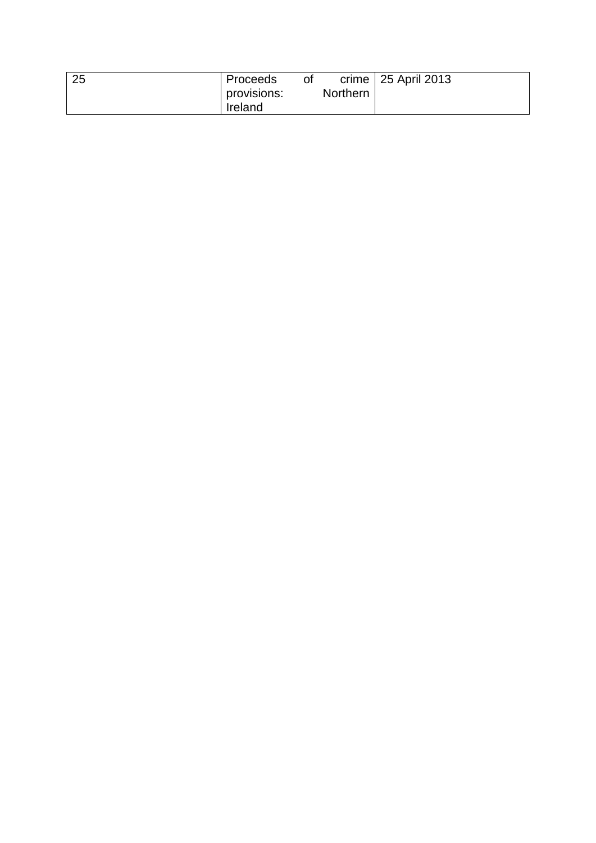| provisions:<br>Ireland | Northern |  |
|------------------------|----------|--|